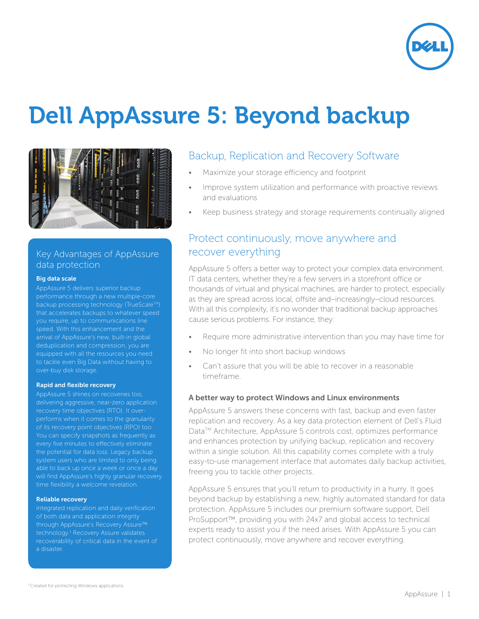

# Dell AppAssure 5: Beyond backup



### Key Advantages of AppAssure data protection

#### Big data scale

AppAssure 5 delivers superior backup performance through a new multiple-core backup processing technology (TrueScale™) that accelerates backups to whatever speed you require, up to communications line speed. With this enhancement and the arrival of AppAssure's new, built-in global deduplication and compression, you are equipped with all the resources you need to tackle even Big Data without having to over-buy disk storage.

#### Rapid and flexible recovery

AppAssure 5 shines on recoveries too, delivering aggressive, near-zero application recovery time objectives (RTO). It overperforms when it comes to the granularity of its recovery point objectives (RPO) too. You can specify snapshots as frequently as the potential for data loss. Legacy backup system users who are limited to only being will find AppAssure's highly granular recovery time flexibility a welcome revelation.

#### Reliable recovery

Integrated replication and daily verification of both data and application integrity through AppAssure's Recovery Assure™ technology.<sup>1</sup> Recovery Assure validates recoverability of critical data in the event of a disaster.

### Backup, Replication and Recovery Software

- Maximize your storage efficiency and footprint
- Improve system utilization and performance with proactive reviews and evaluations
- Keep business strategy and storage requirements continually aligned

## Protect continuously, move anywhere and recover everything

AppAssure 5 offers a better way to protect your complex data environment. IT data centers, whether they're a few servers in a storefront office or thousands of virtual and physical machines, are harder to protect, especially as they are spread across local, offsite and–increasingly–cloud resources. With all this complexity, it's no wonder that traditional backup approaches cause serious problems. For instance, they:

- Require more administrative intervention than you may have time for
- No longer fit into short backup windows
- Can't assure that you will be able to recover in a reasonable timeframe.

#### A better way to protect Windows and Linux environments

AppAssure 5 answers these concerns with fast, backup and even faster replication and recovery. As a key data protection element of Dell's Fluid Data<sup>™</sup> Architecture, AppAssure 5 controls cost, optimizes performance and enhances protection by unifying backup, replication and recovery within a single solution. All this capability comes complete with a truly easy-to-use management interface that automates daily backup activities, freeing you to tackle other projects.

AppAssure 5 ensures that you'll return to productivity in a hurry. It goes beyond backup by establishing a new, highly automated standard for data protection. AppAssure 5 includes our premium software support, Dell ProSupport™, providing you with 24x7 and global access to technical experts ready to assist you if the need arises. With AppAssure 5 you can protect continuously, move anywhere and recover everything.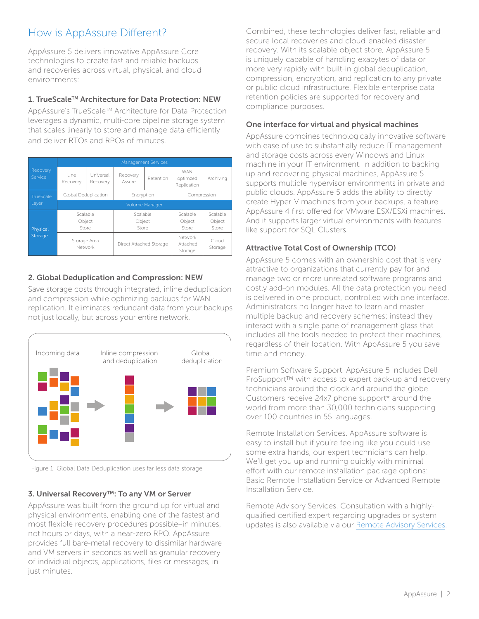# How is AppAssure Different?

AppAssure 5 delivers innovative AppAssure Core technologies to create fast and reliable backups and recoveries across virtual, physical, and cloud environments:

### 1. TrueScale™ Architecture for Data Protection: NEW

AppAssure's TrueScale™ Architecture for Data Protection leverages a dynamic, multi-core pipeline storage system that scales linearly to store and manage data efficiently and deliver RTOs and RPOs of minutes.

|                     | <b>Management Services</b>  |                       |                             |           |                                       |                             |  |
|---------------------|-----------------------------|-----------------------|-----------------------------|-----------|---------------------------------------|-----------------------------|--|
| Recovery<br>Service | l ine.<br>Recovery          | Universal<br>Recovery | Recovery<br>Assure          | Retention | <b>WAN</b><br>optimzed<br>Replication | Archivina                   |  |
| TrueScale           | Global Deduplication        |                       | Encryption                  |           | Compression                           |                             |  |
| Layer               | Volume Manager              |                       |                             |           |                                       |                             |  |
| Physical<br>Storage | Scalable<br>Object<br>Store |                       | Scalable<br>Object<br>Store |           | Scalable<br>Object<br>Store           | Scalable<br>Object<br>Store |  |
|                     | Storage Area<br>Network     |                       | Direct Attached Storage     |           | Network<br>Attached<br>Storage        | Cloud<br>Storage            |  |

### 2. Global Deduplication and Compression: NEW

Save storage costs through integrated, inline deduplication and compression while optimizing backups for WAN replication. It eliminates redundant data from your backups not just locally, but across your entire network.



Figure 1: Global Data Deduplication uses far less data storage

### 3. Universal Recovery™: To any VM or Server

AppAssure was built from the ground up for virtual and physical environments, enabling one of the fastest and most flexible recovery procedures possible–in minutes, not hours or days, with a near-zero RPO. AppAssure provides full bare-metal recovery to dissimilar hardware and VM servers in seconds as well as granular recovery of individual objects, applications, files or messages, in just minutes.

Combined, these technologies deliver fast, reliable and secure local recoveries and cloud-enabled disaster recovery. With its scalable object store, AppAssure 5 is uniquely capable of handling exabytes of data or more very rapidly with built-in global deduplication, compression, encryption, and replication to any private or public cloud infrastructure. Flexible enterprise data retention policies are supported for recovery and compliance purposes.

### One interface for virtual and physical machines

AppAssure combines technologically innovative software with ease of use to substantially reduce IT management and storage costs across every Windows and Linux machine in your IT environment. In addition to backing up and recovering physical machines, AppAssure 5 supports multiple hypervisor environments in private and public clouds. AppAssure 5 adds the ability to directly create Hyper-V machines from your backups, a feature AppAssure 4 first offered for VMware ESX/ESXi machines. And it supports larger virtual environments with features like support for SQL Clusters.

### Attractive Total Cost of Ownership (TCO)

AppAssure 5 comes with an ownership cost that is very attractive to organizations that currently pay for and manage two or more unrelated software programs and costly add-on modules. All the data protection you need is delivered in one product, controlled with one interface. Administrators no longer have to learn and master multiple backup and recovery schemes; instead they interact with a single pane of management glass that includes all the tools needed to protect their machines, regardless of their location. With AppAssure 5 you save time and money.

Premium Software Support. AppAssure 5 includes Dell ProSupport™ with access to expert back-up and recovery technicians around the clock and around the globe. Customers receive 24x7 phone support\* around the world from more than 30,000 technicians supporting over 100 countries in 55 languages.

Remote Installation Services. AppAssure software is easy to install but if you're feeling like you could use some extra hands, our expert technicians can help. We'll get you up and running quickly with minimal effort with our remote installation package options: Basic Remote Installation Service or Advanced Remote Installation Service.

Remote Advisory Services. Consultation with a highlyqualified certified expert regarding upgrades or system updates is also available via our Remote Advisory Services.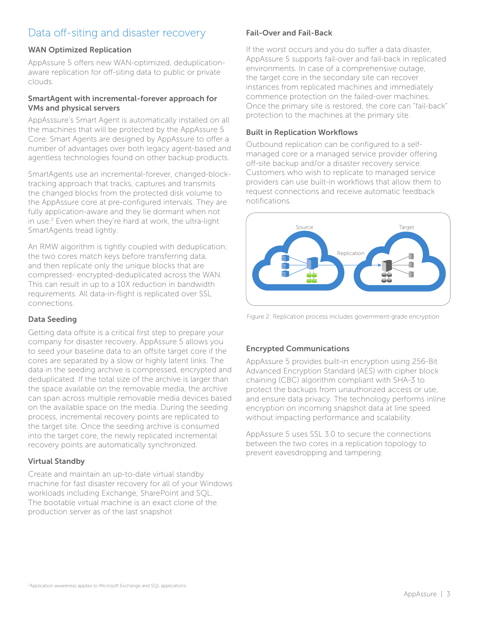# Data off-siting and disaster recovery

### WAN Optimized Replication

AppAssure 5 offers new WAN-optimized, deduplicationaware replication for off-siting data to public or private clouds.

### SmartAgent with incremental-forever approach for VMs and physical servers

AppAsssure's Smart Agent is automatically installed on all the machines that will be protected by the AppAssure 5 Core. Smart Agents are designed by AppAssure to offer a number of advantages over both legacy agent-based and agentless technologies found on other backup products.

SmartAgents use an incremental-forever, changed-blocktracking approach that tracks, captures and transmits the changed blocks from the protected disk volume to the AppAssure core at pre-configured intervals. They are fully application-aware and they lie dormant when not in use.2 Even when they're hard at work, the ultra-light SmartAgents tread lightly.

An RMW algorithm is tightly coupled with deduplication; the two cores match keys before transferring data, and then replicate only the unique blocks that are compressed- encrypted-deduplicated across the WAN. This can result in up to a 10X reduction in bandwidth requirements. All data-in-flight is replicated over SSL connections.

### Data Seeding

Getting data offsite is a critical first step to prepare your company for disaster recovery. AppAssure 5 allows you to seed your baseline data to an offsite target core if the cores are separated by a slow or highly latent links. The data in the seeding archive is compressed, encrypted and deduplicated. If the total size of the archive is larger than the space available on the removable media, the archive can span across multiple removable media devices based on the available space on the media. During the seeding process, incremental recovery points are replicated to the target site. Once the seeding archive is consumed into the target core, the newly replicated incremental recovery points are automatically synchronized.

### Virtual Standby

Create and maintain an up-to-date virtual standby machine for fast disaster recovery for all of your Windows workloads including Exchange, SharePoint and SQL. The bootable virtual machine is an exact clone of the production server as of the last snapshot

### Fail-Over and Fail-Back

If the worst occurs and you do suffer a data disaster, AppAssure 5 supports fail-over and fail-back in replicated environments. In case of a comprehensive outage, the target core in the secondary site can recover instances from replicated machines and immediately commence protection on the failed-over machines. Once the primary site is restored, the core can "fail-back" protection to the machines at the primary site.

### **Built in Replication Workflows**

Outbound replication can be configured to a selfmanaged core or a managed service provider offering off-site backup and/or a disaster recovery service. Customers who wish to replicate to managed service providers can use built-in workflows that allow them to request connections and receive automatic feedback notifications



Figure 2: Replication process includes government-grade encryption

### Encrypted Communications

AppAssure 5 provides built-in encryption using 256-Bit Advanced Encryption Standard (AES) with cipher block chaining (CBC) algorithm compliant with SHA-3 to protect the backups from unauthorized access or use, and ensure data privacy. The technology performs inline encryption on incoming snapshot data at line speed without impacting performance and scalability.

AppAssure 5 uses SSL 3.0 to secure the connections between the two cores in a replication topology to prevent eavesdropping and tampering.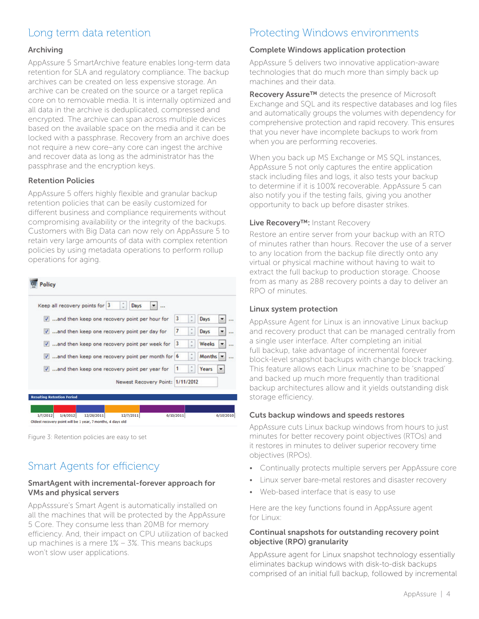# Long term data retention

### Archiving

AppAssure 5 SmartArchive feature enables long-term data retention for SLA and regulatory compliance. The backup archives can be created on less expensive storage. An archive can be created on the source or a target replica core on to removable media. It is internally optimized and all data in the archive is deduplicated, compressed and encrypted. The archive can span across multiple devices based on the available space on the media and it can be locked with a passphrase. Recovery from an archive does not require a new core–any core can ingest the archive and recover data as long as the administrator has the passphrase and the encryption keys.

### Retention Policies

AppAssure 5 offers highly flexible and granular backup retention policies that can be easily customized for different business and compliance requirements without compromising availability or the integrity of the backups. Customers with Big Data can now rely on AppAssure 5 to retain very large amounts of data with complex retention policies by using metadata operations to perform rollup operations for aging.

| ÷I<br>Keep all recovery points for 3<br>Days            |           |    |          |  |
|---------------------------------------------------------|-----------|----|----------|--|
| V and then keep one recovery point per hour for         | 13        |    | Days     |  |
| $\sqrt{ }$ and then keep one recovery point per day for | 7         |    | Days     |  |
| V and then keep one recovery point per week for         | 13        |    | Weeks    |  |
| $V$ and then keep one recovery point per month for $6$  |           | ÷  | Months - |  |
| V and then keep one recovery point per year for         | $\vert$ 1 | ÷. | Years    |  |
| Newest Recovery Point: 1/11/2012                        |           |    |          |  |

Figure 3: Retention policies are easy to set

# Smart Agents for efficiency

### SmartAgent with incremental-forever approach for VMs and physical servers

AppAsssure's Smart Agent is automatically installed on all the machines that will be protected by the AppAssure 5 Core. They consume less than 20MB for memory efficiency. And, their impact on CPU utilization of backed up machines is a mere 1% – 3%. This means backups won't slow user applications.

# Protecting Windows environments

### Complete Windows application protection

AppAssure 5 delivers two innovative application-aware technologies that do much more than simply back up machines and their data.

Recovery Assure™ detects the presence of Microsoft Exchange and SQL and its respective databases and log files and automatically groups the volumes with dependency for comprehensive protection and rapid recovery. This ensures that you never have incomplete backups to work from when you are performing recoveries.

When you back up MS Exchange or MS SQL instances, AppAssure 5 not only captures the entire application stack including files and logs, it also tests your backup to determine if it is 100% recoverable. AppAssure 5 can also notify you if the testing fails, giving you another opportunity to back up before disaster strikes.

### Live Recovery™: Instant Recovery

Restore an entire server from your backup with an RTO of minutes rather than hours. Recover the use of a server to any location from the backup file directly onto any virtual or physical machine without having to wait to extract the full backup to production storage. Choose from as many as 288 recovery points a day to deliver an RPO of minutes.

### Linux system protection

AppAssure Agent for Linux is an innovative Linux backup and recovery product that can be managed centrally from a single user interface. After completing an initial full backup, take advantage of incremental forever block-level snapshot backups with change block tracking. This feature allows each Linux machine to be 'snapped' and backed up much more frequently than traditional backup architectures allow and it yields outstanding disk storage efficiency.

### Cuts backup windows and speeds restores

AppAssure cuts Linux backup windows from hours to just minutes for better recovery point objectives (RTOs) and it restores in minutes to deliver superior recovery time objectives (RPOs).

- Continually protects multiple servers per AppAssure core
- Linux server bare-metal restores and disaster recovery
- Web-based interface that is easy to use

Here are the key functions found in AppAssure agent for Linux:

### Continual snapshots for outstanding recovery point objective (RPO) granularity

AppAssure agent for Linux snapshot technology essentially eliminates backup windows with disk-to-disk backups comprised of an initial full backup, followed by incremental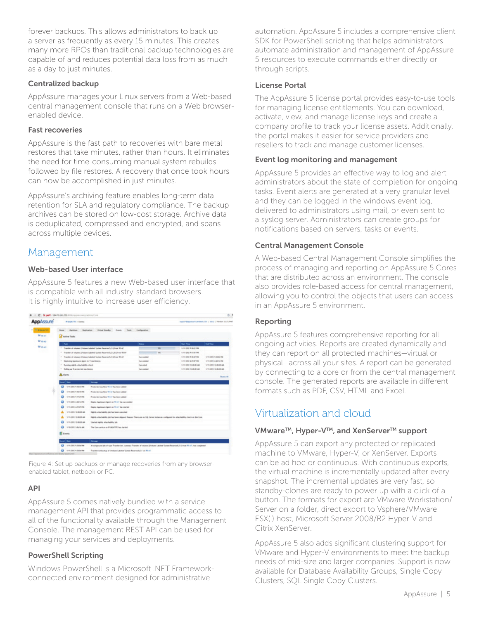forever backups. This allows administrators to back up a server as frequently as every 15 minutes. This creates many more RPOs than traditional backup technologies are capable of and reduces potential data loss from as much as a day to just minutes.

### Centralized backup

AppAssure manages your Linux servers from a Web-based central management console that runs on a Web browserenabled device.

### Fast recoveries

AppAssure is the fast path to recoveries with bare metal restores that take minutes, rather than hours. It eliminates the need for time-consuming manual system rebuilds followed by file restores. A recovery that once took hours can now be accomplished in just minutes.

AppAssure's archiving feature enables long-term data retention for SLA and regulatory compliance. The backup archives can be stored on low-cost storage. Archive data is deduplicated, compressed and encrypted, and spans across multiple devices.

### Management

### Web-based User interface

AppAssure 5 features a new Web-based user interface that is compatible with all industry-standard browsers. It is highly intuitive to increase user efficiency.

| Applicsure                     | <b>POLICE III</b> - Sanda                                                                                                                              |                                                                                                                                      |                           |                | Inggre-Magazine analyst case 1 days 1 Nestun 5.2.1.2Nd |                              |  |
|--------------------------------|--------------------------------------------------------------------------------------------------------------------------------------------------------|--------------------------------------------------------------------------------------------------------------------------------------|---------------------------|----------------|--------------------------------------------------------|------------------------------|--|
| <b>Williams</b><br><b>Mass</b> | <b>Castles Tasks</b>                                                                                                                                   | Histori Standing  . Supply<br>1 There                                                                                                | <b>Ladisvalve</b>         |                |                                                        |                              |  |
| <b>Mass</b>                    | <b>There</b>                                                                                                                                           |                                                                                                                                      | <b>Satur</b>              |                | <b>Said Thomas</b>                                     | <b>East Time</b>             |  |
| <b>Mass</b>                    | 1 Transfer of citizens (Fishera Laborat System Received); (1) Evan 90-AT                                                                               |                                                                                                                                      | $\overline{\phantom{a}}$  | LYLIDE LILE RE |                                                        |                              |  |
|                                | 1 Transfer of volumes (Folume Labeled Toriane Received); (1) (81) Fore Wolf                                                                            |                                                                                                                                      |                           | <b>W</b>       | LITH SIRE LITAL AN                                     |                              |  |
|                                | Transfer of volumes (Fishane Labelled Torinon Recorrent); (1) Even Write!<br>$\mathbb{R}^n$                                                            |                                                                                                                                      | <b>Incomediat</b>         |                | <b><i>LYLING LIGHTIN</i></b>                           | LYIN DRIV TUBEN FM           |  |
|                                | <b>Baskutha Nachtsung Agent to 1 searchears</b>                                                                                                        |                                                                                                                                      | <b>Suite contrational</b> |                | Army DIRE & DNST Ree                                   | Little DIRE & All his Reg.   |  |
|                                | 7 Running sightly allia hability classic                                                                                                               |                                                                                                                                      | <b>I am siled</b>         |                | <b><i>LYLING GALAW</i></b>                             | STATISTIC CLIRICAL AND       |  |
|                                | 1. Roding as 9 productied machinerial.                                                                                                                 |                                                                                                                                      | <b>Successing</b>         |                | LIVELIDED CHRISTIAN                                    | Arthur Date C Alcohol M cash |  |
|                                | <b>A</b> slam<br><b>Houston</b> MR                                                                                                                     |                                                                                                                                      |                           |                |                                                        |                              |  |
|                                | and They                                                                                                                                               | $\overline{ }$                                                                                                                       |                           |                |                                                        |                              |  |
|                                | 12010011-014<br>$\circ$                                                                                                                                | Frederick medical W-47 has been added                                                                                                |                           |                |                                                        |                              |  |
| o                              | 1/2/2021 1-56-51746                                                                                                                                    | Restocked marking 50-47 has been added.                                                                                              |                           |                |                                                        |                              |  |
|                                | 4-10-2002 4-17-67 PM<br>o                                                                                                                              | Restaurant machine Wint The forest salded                                                                                            |                           |                |                                                        |                              |  |
|                                | 1-10 (201) 4-40 (with                                                                                                                                  | Dealer Applicant Agent as 10 of his successful                                                                                       |                           |                |                                                        |                              |  |
|                                | Arm 2002 & Politike<br>o                                                                                                                               | Basic Australia Agent as 10 of his market                                                                                            |                           |                |                                                        |                              |  |
|                                | 1/11/2012 12:00:00 AM                                                                                                                                  | Marris americantly bit has been calculated                                                                                           |                           |                |                                                        |                              |  |
|                                | 1-10-2002 12:00:00 AM<br>Highly attentionity on his best depart flower There are no 10, better instances configurat for attentionity check on the Cole |                                                                                                                                      |                           |                |                                                        |                              |  |
|                                | o<br>1/1/2021 12:00:00 AM<br>The last rightly siller helding job.                                                                                      |                                                                                                                                      |                           |                |                                                        |                              |  |
|                                | o<br>1701011-0444                                                                                                                                      | The Core painting on IR-BIDATET Teac sharies?                                                                                        |                           |                |                                                        |                              |  |
|                                |                                                                                                                                                        |                                                                                                                                      |                           |                |                                                        |                              |  |
|                                | <b>El</b> Everta                                                                                                                                       |                                                                                                                                      |                           |                |                                                        |                              |  |
|                                | and Date                                                                                                                                               | -                                                                                                                                    |                           |                |                                                        |                              |  |
|                                | 4-14-220-4-320-la-la-                                                                                                                                  | A hardground job of tiga. Transferrite, summery Transfer of column (choices Lebrine Texture Mountee) (ii) thus Th.c.P. has completed |                           |                |                                                        |                              |  |
|                                |                                                                                                                                                        |                                                                                                                                      |                           |                |                                                        |                              |  |

Figure 4: Set up backups or manage recoveries from any browserenabled tablet, netbook or PC.

### API

AppAssure 5 comes natively bundled with a service management API that provides programmatic access to all of the functionality available through the Management Console. The management REST API can be used for managing your services and deployments.

### PowerShell Scripting

Windows PowerShell is a Microsoft .NET Frameworkconnected environment designed for administrative

automation. AppAssure 5 includes a comprehensive client SDK for PowerShell scripting that helps administrators automate administration and management of AppAssure 5 resources to execute commands either directly or through scripts.

### License Portal

The AppAssure 5 license portal provides easy-to-use tools for managing license entitlements. You can download, activate, view, and manage license keys and create a company profile to track your license assets. Additionally, the portal makes it easier for service providers and resellers to track and manage customer licenses.

### Event log monitoring and management

AppAssure 5 provides an effective way to log and alert administrators about the state of completion for ongoing tasks. Event alerts are generated at a very granular level and they can be logged in the windows event log, delivered to administrators using mail, or even sent to a syslog server. Administrators can create groups for notifications based on servers, tasks or events.

### Central Management Console

A Web-based Central Management Console simplifies the process of managing and reporting on AppAssure 5 Cores that are distributed across an environment. The console also provides role-based access for central management, allowing you to control the objects that users can access in an AppAssure 5 environment.

### Reporting

AppAssure 5 features comprehensive reporting for all ongoing activities. Reports are created dynamically and they can report on all protected machines—virtual or physical—across all your sites. A report can be generated by connecting to a core or from the central management console. The generated reports are available in different formats such as PDF, CSV, HTML and Excel.

# Virtualization and cloud

### VMware™, Hyper-V™, and XenServer™ support

AppAssure 5 can export any protected or replicated machine to VMware, Hyper-V, or XenServer. Exports can be ad hoc or continuous. With continuous exports, the virtual machine is incrementally updated after every snapshot. The incremental updates are very fast, so standby-clones are ready to power up with a click of a button. The formats for export are VMware Workstation/ Server on a folder, direct export to Vsphere/VMware ESX(i) host, Microsoft Server 2008/R2 Hyper-V and Citrix XenServer.

AppAssure 5 also adds significant clustering support for VMware and Hyper-V environments to meet the backup needs of mid-size and larger companies. Support is now available for Database Availability Groups, Single Copy Clusters, SQL Single Copy Clusters.